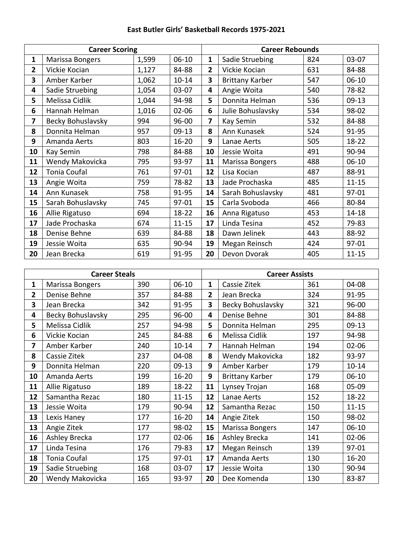## **East Butler Girls' Basketball Records 1975-2021**

| <b>Career Scoring</b> |                     |       | <b>Career Rebounds</b> |             |                        |     |           |
|-----------------------|---------------------|-------|------------------------|-------------|------------------------|-----|-----------|
| 1                     | Marissa Bongers     | 1,599 | $06-10$                | $\mathbf 1$ | Sadie Struebing        | 824 | 03-07     |
| 2                     | Vickie Kocian       | 1,127 | 84-88                  | 2           | Vickie Kocian          | 631 | 84-88     |
| 3                     | Amber Karber        | 1,062 | $10 - 14$              | 3           | <b>Brittany Karber</b> | 547 | $06-10$   |
| 4                     | Sadie Struebing     | 1,054 | $03-07$                | 4           | Angie Woita            | 540 | 78-82     |
| 5                     | Melissa Cidlik      | 1,044 | 94-98                  | 5           | Donnita Helman         | 536 | $09-13$   |
| 6                     | Hannah Helman       | 1,016 | $02 - 06$              | 6           | Julie Bohuslavsky      | 534 | 98-02     |
| 7                     | Becky Bohuslavsky   | 994   | 96-00                  | 7           | Kay Semin              | 532 | 84-88     |
| 8                     | Donnita Helman      | 957   | $09-13$                | 8           | Ann Kunasek            | 524 | 91-95     |
| 9                     | Amanda Aerts        | 803   | $16 - 20$              | 9           | Lanae Aerts            | 505 | $18-22$   |
| 10                    | Kay Semin           | 798   | 84-88                  | 10          | Jessie Woita           | 491 | 90-94     |
| 11                    | Wendy Makovicka     | 795   | 93-97                  | 11          | Marissa Bongers        | 488 | $06-10$   |
| 12                    | <b>Tonia Coufal</b> | 761   | 97-01                  | 12          | Lisa Kocian            | 487 | 88-91     |
| 13                    | Angie Woita         | 759   | 78-82                  | 13          | Jade Prochaska         | 485 | $11 - 15$ |
| 14                    | Ann Kunasek         | 758   | 91-95                  | 14          | Sarah Bohuslavsky      | 481 | 97-01     |
| 15                    | Sarah Bohuslavsky   | 745   | 97-01                  | 15          | Carla Svoboda          | 466 | 80-84     |
| 16                    | Allie Rigatuso      | 694   | $18 - 22$              | 16          | Anna Rigatuso          | 453 | $14 - 18$ |
| 17                    | Jade Prochaska      | 674   | $11 - 15$              | 17          | Linda Tesina           | 452 | 79-83     |
| 18                    | Denise Behne        | 639   | 84-88                  | 18          | Dawn Jelinek           | 443 | 88-92     |
| 19                    | Jessie Woita        | 635   | 90-94                  | 19          | Megan Reinsch          | 424 | 97-01     |
| 20                    | Jean Brecka         | 619   | 91-95                  | 20          | Devon Dvorak           | 405 | $11 - 15$ |

| <b>Career Steals</b> |                     |     | <b>Career Assists</b> |              |                        |     |           |
|----------------------|---------------------|-----|-----------------------|--------------|------------------------|-----|-----------|
| 1                    | Marissa Bongers     | 390 | $06-10$               | $\mathbf{1}$ | Cassie Zitek           | 361 | 04-08     |
| $\overline{2}$       | Denise Behne        | 357 | 84-88                 | 2            | Jean Brecka            | 324 | 91-95     |
| 3                    | Jean Brecka         | 342 | 91-95                 | 3            | Becky Bohuslavsky      | 321 | 96-00     |
| 4                    | Becky Bohuslavsky   | 295 | 96-00                 | 4            | Denise Behne           | 301 | 84-88     |
| 5                    | Melissa Cidlik      | 257 | 94-98                 | 5            | Donnita Helman         | 295 | $09-13$   |
| 6                    | Vickie Kocian       | 245 | 84-88                 | 6            | Melissa Cidlik         | 197 | 94-98     |
| 7                    | Amber Karber        | 240 | $10 - 14$             | 7            | Hannah Helman          | 194 | $02 - 06$ |
| 8                    | Cassie Zitek        | 237 | 04-08                 | 8            | Wendy Makovicka        | 182 | 93-97     |
| 9                    | Donnita Helman      | 220 | $09-13$               | 9            | Amber Karber           | 179 | $10 - 14$ |
| 10                   | Amanda Aerts        | 199 | $16 - 20$             | 9            | <b>Brittany Karber</b> | 179 | $06-10$   |
| 11                   | Allie Rigatuso      | 189 | $18 - 22$             | 11           | Lynsey Trojan          | 168 | 05-09     |
| 12                   | Samantha Rezac      | 180 | $11 - 15$             | 12           | Lanae Aerts            | 152 | 18-22     |
| 13                   | Jessie Woita        | 179 | 90-94                 | 12           | Samantha Rezac         | 150 | $11 - 15$ |
| 13                   | Lexis Haney         | 177 | $16 - 20$             | 14           | Angie Zitek            | 150 | 98-02     |
| 13                   | Angie Zitek         | 177 | 98-02                 | 15           | Marissa Bongers        | 147 | $06-10$   |
| 16                   | Ashley Brecka       | 177 | 02-06                 | 16           | Ashley Brecka          | 141 | 02-06     |
| 17                   | Linda Tesina        | 176 | 79-83                 | 17           | Megan Reinsch          | 139 | 97-01     |
| 18                   | <b>Tonia Coufal</b> | 175 | 97-01                 | 17           | Amanda Aerts           | 130 | $16 - 20$ |
| 19                   | Sadie Struebing     | 168 | 03-07                 | 17           | Jessie Woita           | 130 | 90-94     |
| 20                   | Wendy Makovicka     | 165 | 93-97                 | 20           | Dee Komenda            | 130 | 83-87     |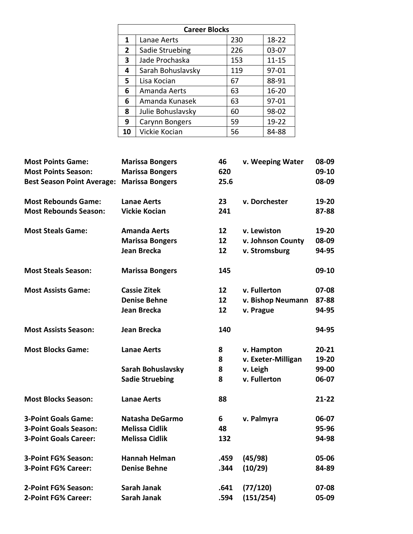| <b>Career Blocks</b> |                   |     |           |  |  |
|----------------------|-------------------|-----|-----------|--|--|
| 1                    | Lanae Aerts       | 230 | 18-22     |  |  |
| $\overline{2}$       | Sadie Struebing   | 226 | $03-07$   |  |  |
| 3                    | Jade Prochaska    | 153 | $11 - 15$ |  |  |
| 4                    | Sarah Bohuslavsky | 119 | 97-01     |  |  |
| 5                    | Lisa Kocian       | 67  | 88-91     |  |  |
| 6                    | Amanda Aerts      | 63  | $16 - 20$ |  |  |
| 6                    | Amanda Kunasek    | 63  | 97-01     |  |  |
| 8                    | Julie Bohuslavsky | 60  | 98-02     |  |  |
| 9                    | Carynn Bongers    | 59  | $19 - 22$ |  |  |
| 10                   | Vickie Kocian     | 56  | 84-88     |  |  |

| <b>Most Points Game:</b>          | <b>Marissa Bongers</b> | 46   | v. Weeping Water   | 08-09     |
|-----------------------------------|------------------------|------|--------------------|-----------|
| <b>Most Points Season:</b>        | <b>Marissa Bongers</b> | 620  |                    | 09-10     |
| <b>Best Season Point Average:</b> | <b>Marissa Bongers</b> | 25.6 |                    | 08-09     |
| <b>Most Rebounds Game:</b>        | <b>Lanae Aerts</b>     | 23   | v. Dorchester      | 19-20     |
| <b>Most Rebounds Season:</b>      | <b>Vickie Kocian</b>   | 241  |                    | 87-88     |
| <b>Most Steals Game:</b>          | <b>Amanda Aerts</b>    | 12   | v. Lewiston        | 19-20     |
|                                   | <b>Marissa Bongers</b> | 12   | v. Johnson County  | 08-09     |
|                                   | Jean Brecka            | 12   | v. Stromsburg      | 94-95     |
| <b>Most Steals Season:</b>        | <b>Marissa Bongers</b> | 145  |                    | 09-10     |
| <b>Most Assists Game:</b>         | <b>Cassie Zitek</b>    | 12   | v. Fullerton       | 07-08     |
|                                   | <b>Denise Behne</b>    | 12   | v. Bishop Neumann  | 87-88     |
|                                   | <b>Jean Brecka</b>     | 12   | v. Prague          | 94-95     |
| <b>Most Assists Season:</b>       | Jean Brecka            | 140  |                    | 94-95     |
| <b>Most Blocks Game:</b>          | <b>Lanae Aerts</b>     | 8    | v. Hampton         | $20 - 21$ |
|                                   |                        | 8    | v. Exeter-Milligan | 19-20     |
|                                   | Sarah Bohuslavsky      | 8    | v. Leigh           | 99-00     |
|                                   | <b>Sadie Struebing</b> | 8    | v. Fullerton       | 06-07     |
| <b>Most Blocks Season:</b>        | <b>Lanae Aerts</b>     | 88   |                    | $21 - 22$ |
| <b>3-Point Goals Game:</b>        | Natasha DeGarmo        | 6    | v. Palmyra         | 06-07     |
| <b>3-Point Goals Season:</b>      | <b>Melissa Cidlik</b>  | 48   |                    | 95-96     |
| <b>3-Point Goals Career:</b>      | <b>Melissa Cidlik</b>  | 132  |                    | 94-98     |
| 3-Point FG% Season:               | <b>Hannah Helman</b>   | .459 | (45/98)            | 05-06     |
| 3-Point FG% Career:               | <b>Denise Behne</b>    | .344 | (10/29)            | 84-89     |
| 2-Point FG% Season:               | <b>Sarah Janak</b>     | .641 | (77/120)           | 07-08     |
| 2-Point FG% Career:               | <b>Sarah Janak</b>     | .594 | (151/254)          | 05-09     |